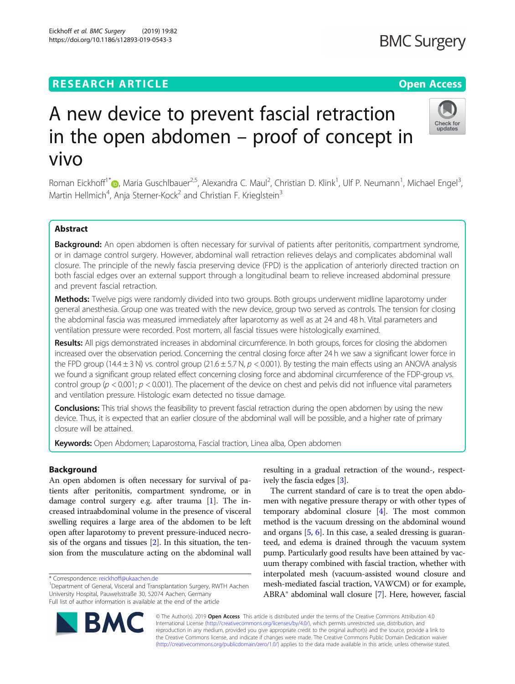# **RESEARCH ARTICLE Example 2014 12:30 The Contract of Contract ACCESS**

# A new device to prevent fascial retraction in the open abdomen – proof of concept in vivo

Roman Eickhoff<sup>1\*</sup> , Maria Guschlbauer<sup>2,5</sup>, Alexandra C. Maul<sup>2</sup>, Christian D. Klink<sup>1</sup>, Ulf P. Neumann<sup>1</sup>, Michael Engel<sup>3</sup> , Martin Hellmich<sup>4</sup>, Anja Sterner-Kock<sup>2</sup> and Christian F. Krieglstein<sup>3</sup>

# Abstract

Background: An open abdomen is often necessary for survival of patients after peritonitis, compartment syndrome, or in damage control surgery. However, abdominal wall retraction relieves delays and complicates abdominal wall closure. The principle of the newly fascia preserving device (FPD) is the application of anteriorly directed traction on both fascial edges over an external support through a longitudinal beam to relieve increased abdominal pressure and prevent fascial retraction.

Methods: Twelve pigs were randomly divided into two groups. Both groups underwent midline laparotomy under general anesthesia. Group one was treated with the new device, group two served as controls. The tension for closing the abdominal fascia was measured immediately after laparotomy as well as at 24 and 48 h. Vital parameters and ventilation pressure were recorded. Post mortem, all fascial tissues were histologically examined.

Results: All pigs demonstrated increases in abdominal circumference. In both groups, forces for closing the abdomen increased over the observation period. Concerning the central closing force after 24 h we saw a significant lower force in the FPD group (14.4  $\pm$  3 N) vs. control group (21.6  $\pm$  5.7 N, p < 0.001). By testing the main effects using an ANOVA analysis we found a significant group related effect concerning closing force and abdominal circumference of the FDP-group vs. control group ( $p < 0.001$ ;  $p < 0.001$ ). The placement of the device on chest and pelvis did not influence vital parameters and ventilation pressure. Histologic exam detected no tissue damage.

**Conclusions:** This trial shows the feasibility to prevent fascial retraction during the open abdomen by using the new device. Thus, it is expected that an earlier closure of the abdominal wall will be possible, and a higher rate of primary closure will be attained.

Keywords: Open Abdomen; Laparostoma, Fascial traction, Linea alba, Open abdomen

# Background

An open abdomen is often necessary for survival of patients after peritonitis, compartment syndrome, or in damage control surgery e.g. after trauma [\[1\]](#page-5-0). The increased intraabdominal volume in the presence of visceral swelling requires a large area of the abdomen to be left open after laparotomy to prevent pressure-induced necrosis of the organs and tissues [\[2](#page-5-0)]. In this situation, the tension from the musculature acting on the abdominal wall

\* Correspondence: [reickhoff@ukaachen.de](mailto:reickhoff@ukaachen.de) <sup>1</sup>

<sup>1</sup>Department of General, Visceral and Transplantation Surgery, RWTH Aachen University Hospital, Pauwelsstraße 30, 52074 Aachen, Germany Full list of author information is available at the end of the article

mesh-mediated fascial traction, VAWCM) or for example, ABRA® abdominal wall closure [[7\]](#page-5-0). Here, however, fascial © The Author(s). 2019 Open Access This article is distributed under the terms of the Creative Commons Attribution 4.0

International License [\(http://creativecommons.org/licenses/by/4.0/](http://creativecommons.org/licenses/by/4.0/)), which permits unrestricted use, distribution, and reproduction in any medium, provided you give appropriate credit to the original author(s) and the source, provide a link to the Creative Commons license, and indicate if changes were made. The Creative Commons Public Domain Dedication waiver [\(http://creativecommons.org/publicdomain/zero/1.0/](http://creativecommons.org/publicdomain/zero/1.0/)) applies to the data made available in this article, unless otherwise stated.

resulting in a gradual retraction of the wound-, respectively the fascia edges [\[3\]](#page-5-0).

The current standard of care is to treat the open abdomen with negative pressure therapy or with other types of temporary abdominal closure [\[4](#page-5-0)]. The most common method is the vacuum dressing on the abdominal wound and organs  $[5, 6]$  $[5, 6]$  $[5, 6]$ . In this case, a sealed dressing is guaranteed, and edema is drained through the vacuum system pump. Particularly good results have been attained by vacuum therapy combined with fascial traction, whether with interpolated mesh (vacuum-assisted wound closure and

**BMC Surgery** 







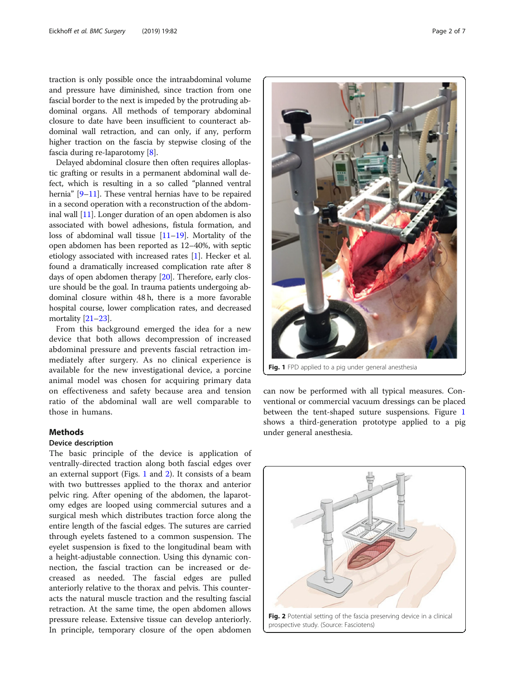<span id="page-1-0"></span>traction is only possible once the intraabdominal volume and pressure have diminished, since traction from one fascial border to the next is impeded by the protruding abdominal organs. All methods of temporary abdominal closure to date have been insufficient to counteract abdominal wall retraction, and can only, if any, perform higher traction on the fascia by stepwise closing of the fascia during re-laparotomy [[8\]](#page-5-0).

Delayed abdominal closure then often requires alloplastic grafting or results in a permanent abdominal wall defect, which is resulting in a so called "planned ventral hernia" [[9](#page-5-0)–[11](#page-5-0)]. These ventral hernias have to be repaired in a second operation with a reconstruction of the abdominal wall [[11](#page-5-0)]. Longer duration of an open abdomen is also associated with bowel adhesions, fistula formation, and loss of abdominal wall tissue [[11](#page-5-0)–[19\]](#page-6-0). Mortality of the open abdomen has been reported as 12–40%, with septic etiology associated with increased rates [\[1\]](#page-5-0). Hecker et al. found a dramatically increased complication rate after 8 days of open abdomen therapy [\[20\]](#page-6-0). Therefore, early closure should be the goal. In trauma patients undergoing abdominal closure within 48 h, there is a more favorable hospital course, lower complication rates, and decreased mortality [[21](#page-6-0)–[23\]](#page-6-0).

From this background emerged the idea for a new device that both allows decompression of increased abdominal pressure and prevents fascial retraction immediately after surgery. As no clinical experience is available for the new investigational device, a porcine animal model was chosen for acquiring primary data on effectiveness and safety because area and tension ratio of the abdominal wall are well comparable to those in humans.

# **Methods**

# Device description

The basic principle of the device is application of ventrally-directed traction along both fascial edges over an external support (Figs. 1 and 2). It consists of a beam with two buttresses applied to the thorax and anterior pelvic ring. After opening of the abdomen, the laparotomy edges are looped using commercial sutures and a surgical mesh which distributes traction force along the entire length of the fascial edges. The sutures are carried through eyelets fastened to a common suspension. The eyelet suspension is fixed to the longitudinal beam with a height-adjustable connection. Using this dynamic connection, the fascial traction can be increased or decreased as needed. The fascial edges are pulled anteriorly relative to the thorax and pelvis. This counteracts the natural muscle traction and the resulting fascial retraction. At the same time, the open abdomen allows pressure release. Extensive tissue can develop anteriorly. In principle, temporary closure of the open abdomen



Fig. 1 FPD applied to a pig under general anesthesia

can now be performed with all typical measures. Conventional or commercial vacuum dressings can be placed between the tent-shaped suture suspensions. Figure 1 shows a third-generation prototype applied to a pig under general anesthesia.

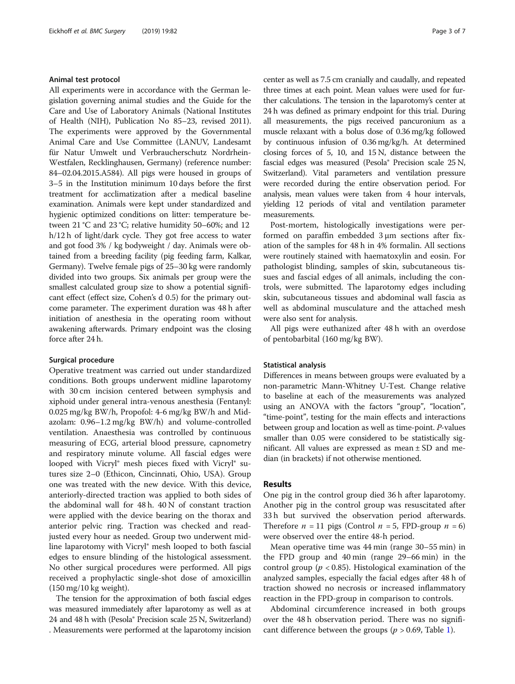## Animal test protocol

All experiments were in accordance with the German legislation governing animal studies and the Guide for the Care and Use of Laboratory Animals (National Institutes of Health (NIH), Publication No 85–23, revised 2011). The experiments were approved by the Governmental Animal Care and Use Committee (LANUV, Landesamt für Natur Umwelt und Verbraucherschutz Nordrhein-Westfalen, Recklinghausen, Germany) (reference number: 84–02.04.2015.A584). All pigs were housed in groups of 3–5 in the Institution minimum 10 days before the first treatment for acclimatization after a medical baseline examination. Animals were kept under standardized and hygienic optimized conditions on litter: temperature between 21 °C and 23 °C; relative humidity 50–60%; and 12 h/12 h of light/dark cycle. They got free access to water and got food 3% / kg bodyweight / day. Animals were obtained from a breeding facility (pig feeding farm, Kalkar, Germany). Twelve female pigs of 25–30 kg were randomly divided into two groups. Six animals per group were the smallest calculated group size to show a potential significant effect (effect size, Cohen's d 0.5) for the primary outcome parameter. The experiment duration was 48 h after initiation of anesthesia in the operating room without awakening afterwards. Primary endpoint was the closing force after 24 h.

## Surgical procedure

Operative treatment was carried out under standardized conditions. Both groups underwent midline laparotomy with 30 cm incision centered between symphysis and xiphoid under general intra-venous anesthesia (Fentanyl: 0.025 mg/kg BW/h, Propofol: 4-6 mg/kg BW/h and Midazolam: 0.96–1.2 mg/kg BW/h) and volume-controlled ventilation. Anaesthesia was controlled by continuous measuring of ECG, arterial blood pressure, capnometry and respiratory minute volume. All fascial edges were looped with Vicryl® mesh pieces fixed with Vicryl® sutures size 2–0 (Ethicon, Cincinnati, Ohio, USA). Group one was treated with the new device. With this device, anteriorly-directed traction was applied to both sides of the abdominal wall for 48 h. 40 N of constant traction were applied with the device bearing on the thorax and anterior pelvic ring. Traction was checked and readjusted every hour as needed. Group two underwent midline laparotomy with Vicryl® mesh looped to both fascial edges to ensure blinding of the histological assessment. No other surgical procedures were performed. All pigs received a prophylactic single-shot dose of amoxicillin (150 mg/10 kg weight).

The tension for the approximation of both fascial edges was measured immediately after laparotomy as well as at 24 and 48 h with (Pesola® Precision scale 25 N, Switzerland) . Measurements were performed at the laparotomy incision center as well as 7.5 cm cranially and caudally, and repeated three times at each point. Mean values were used for further calculations. The tension in the laparotomy's center at 24 h was defined as primary endpoint for this trial. During all measurements, the pigs received pancuronium as a muscle relaxant with a bolus dose of 0.36 mg/kg followed by continuous infusion of 0.36 mg/kg/h. At determined closing forces of 5, 10, and 15 N, distance between the fascial edges was measured (Pesola® Precision scale 25 N, Switzerland). Vital parameters and ventilation pressure were recorded during the entire observation period. For analysis, mean values were taken from 4 hour intervals, yielding 12 periods of vital and ventilation parameter measurements.

Post-mortem, histologically investigations were performed on paraffin embedded 3 μm sections after fixation of the samples for 48 h in 4% formalin. All sections were routinely stained with haematoxylin and eosin. For pathologist blinding, samples of skin, subcutaneous tissues and fascial edges of all animals, including the controls, were submitted. The laparotomy edges including skin, subcutaneous tissues and abdominal wall fascia as well as abdominal musculature and the attached mesh were also sent for analysis.

All pigs were euthanized after 48 h with an overdose of pentobarbital (160 mg/kg BW).

# Statistical analysis

Differences in means between groups were evaluated by a non-parametric Mann-Whitney U-Test. Change relative to baseline at each of the measurements was analyzed using an ANOVA with the factors "group", "location", "time-point", testing for the main effects and interactions between group and location as well as time-point. P-values smaller than 0.05 were considered to be statistically significant. All values are expressed as mean ± SD and median (in brackets) if not otherwise mentioned.

# Results

One pig in the control group died 36 h after laparotomy. Another pig in the control group was resuscitated after 33 h but survived the observation period afterwards. Therefore  $n = 11$  pigs (Control  $n = 5$ , FPD-group  $n = 6$ ) were observed over the entire 48-h period.

Mean operative time was 44 min (range 30–55 min) in the FPD group and 40 min (range 29–66 min) in the control group ( $p < 0.85$ ). Histological examination of the analyzed samples, especially the facial edges after 48 h of traction showed no necrosis or increased inflammatory reaction in the FPD-group in comparison to controls.

Abdominal circumference increased in both groups over the 48 h observation period. There was no significant difference between the groups ( $p > 0.69$ , Table [1](#page-3-0)).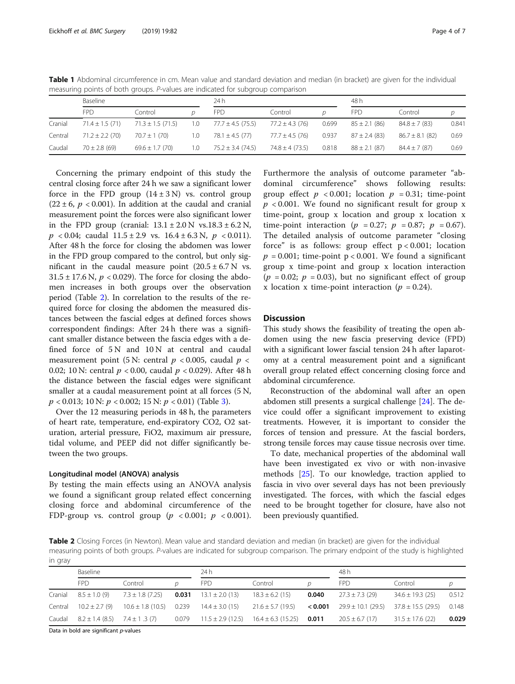|         | measuring points or both groups. I values are muleated for sabgroup companson |                       |     |                       |                    |       |                   |                     |       |  |  |  |
|---------|-------------------------------------------------------------------------------|-----------------------|-----|-----------------------|--------------------|-------|-------------------|---------------------|-------|--|--|--|
|         | Baseline                                                                      |                       |     | 24 h                  |                    |       | 48 h              |                     |       |  |  |  |
|         | <b>FPD</b>                                                                    | Control               |     | <b>FPD</b>            | Control            |       | <b>FPD</b>        | Control             |       |  |  |  |
| Cranial | $71.4 \pm 1.5(71)$                                                            | $71.3 \pm 1.5$ (71.5) | 1.0 | $77.7 \pm 4.5$ (75.5) | $77.2 \pm 4.3(76)$ | 0.699 | $85 \pm 2.1$ (86) | $84.8 \pm 7(83)$    | 0.841 |  |  |  |
| Central | $71.2 \pm 2.2(70)$                                                            | $70.7 \pm 1(70)$      | 1.0 | $78.1 \pm 4.5(77)$    | $77.7 \pm 4.5(76)$ | 0.937 | $87 \pm 2.4$ (83) | $86.7 \pm 8.1$ (82) | 0.69  |  |  |  |
| Caudal  | $70 \pm 2.8$ (69)                                                             | $69.6 \pm 1.7$ (70)   | 1.0 | $75.2 \pm 3.4$ (74.5) | $74.8 \pm 4(73.5)$ | 0.818 | $88 \pm 2.1$ (87) | $84.4 \pm 7(87)$    | 0.69  |  |  |  |

<span id="page-3-0"></span>Table 1 Abdominal circumference in cm. Mean value and standard deviation and median (in bracket) are given for the individual measuring points of both groups. P-values are indicated for subgroup comparison

Concerning the primary endpoint of this study the central closing force after 24 h we saw a significant lower force in the FPD group  $(14 \pm 3 \text{ N})$  vs. control group  $(22 \pm 6, p < 0.001)$ . In addition at the caudal and cranial measurement point the forces were also significant lower in the FPD group (cranial:  $13.1 \pm 2.0$  N vs.18.3  $\pm$  6.2 N,  $p < 0.04$ ; caudal  $11.5 \pm 2.9$  vs.  $16.4 \pm 6.3$  N,  $p < 0.011$ ). After 48 h the force for closing the abdomen was lower in the FPD group compared to the control, but only significant in the caudal measure point  $(20.5 \pm 6.7 \text{ N} \text{ vs.})$  $31.5 \pm 17.6$  N,  $p < 0.029$ ). The force for closing the abdomen increases in both groups over the observation period (Table 2). In correlation to the results of the required force for closing the abdomen the measured distances between the fascial edges at defined forces shows correspondent findings: After 24 h there was a significant smaller distance between the fascia edges with a defined force of 5 N and 10 N at central and caudal measurement point (5 N: central  $p < 0.005$ , caudal  $p <$ 0.02; 10 N: central  $p < 0.00$ , caudal  $p < 0.029$ ). After 48 h the distance between the fascial edges were significant smaller at a caudal measurement point at all forces (5 N,  $p < 0.013$  $p < 0.013$ ; 10 N:  $p < 0.002$ ; 15 N:  $p < 0.01$ ) (Table 3).

Over the 12 measuring periods in 48 h, the parameters of heart rate, temperature, end-expiratory CO2, O2 saturation, arterial pressure, FiO2, maximum air pressure, tidal volume, and PEEP did not differ significantly between the two groups.

## Longitudinal model (ANOVA) analysis

By testing the main effects using an ANOVA analysis we found a significant group related effect concerning closing force and abdominal circumference of the FDP-group vs. control group  $(p \lt 0.001; p \lt 0.001)$ .

Furthermore the analysis of outcome parameter "abdominal circumference" shows following results: group effect  $p < 0.001$ ; location  $p = 0.31$ ; time-point  $p < 0.001$ . We found no significant result for group x time-point, group x location and group x location x time-point interaction ( $p = 0.27$ ;  $p = 0.87$ ;  $p = 0.67$ ). The detailed analysis of outcome parameter "closing force" is as follows: group effect  $p < 0.001$ ; location  $p = 0.001$ ; time-point  $p < 0.001$ . We found a significant group x time-point and group x location interaction  $(p = 0.02; p = 0.03)$ , but no significant effect of group x location x time-point interaction ( $p = 0.24$ ).

# **Discussion**

This study shows the feasibility of treating the open abdomen using the new fascia preserving device (FPD) with a significant lower fascial tension 24 h after laparotomy at a central measurement point and a significant overall group related effect concerning closing force and abdominal circumference.

Reconstruction of the abdominal wall after an open abdomen still presents a surgical challenge [[24](#page-6-0)]. The device could offer a significant improvement to existing treatments. However, it is important to consider the forces of tension and pressure. At the fascial borders, strong tensile forces may cause tissue necrosis over time.

To date, mechanical properties of the abdominal wall have been investigated ex vivo or with non-invasive methods [[25](#page-6-0)]. To our knowledge, traction applied to fascia in vivo over several days has not been previously investigated. The forces, with which the fascial edges need to be brought together for closure, have also not been previously quantified.

Table 2 Closing Forces (in Newton). Mean value and standard deviation and median (in bracket) are given for the individual measuring points of both groups. P-values are indicated for subgroup comparison. The primary endpoint of the study is highlighted in gray

|         | Baseline            |                             |       | 24 h                  |                        |               | 48 h                   |                        |       |  |
|---------|---------------------|-----------------------------|-------|-----------------------|------------------------|---------------|------------------------|------------------------|-------|--|
|         | FPD.                | Control                     |       | <b>FPD</b>            | Control                |               | <b>FPD</b>             | Control                |       |  |
| Cranial | $8.5 \pm 1.0(9)$    | $7.3 \pm 1.8$ (7.25)        | 0.031 | $13.1 \pm 2.0$ (13)   | $18.3 \pm 6.2$ (15)    | 0.040         | $27.3 \pm 7.3$ (29)    | $34.6 \pm 19.3$ (25)   | 0.512 |  |
| Central | $10.2 \pm 2.7(9)$   | $10.6 \pm 1.8$ (10.5) 0.239 |       | $14.4 \pm 3.0$ (15)   | $21.6 \pm 5.7$ (19.5)  | $<$ 0.001 $-$ | $29.9 \pm 10.1$ (29.5) | $37.8 \pm 15.5$ (29.5) | 0.148 |  |
| Caudal  | $8.2 \pm 1.4$ (8.5) | $7.4 \pm 1.3(7)$            | 0.079 | $11.5 \pm 2.9$ (12.5) | $16.4 \pm 6.3$ (15.25) | 0.011         | $20.5 \pm 6.7(17)$     | $31.5 \pm 17.6$ (22)   | 0.029 |  |

Data in bold are significant p-values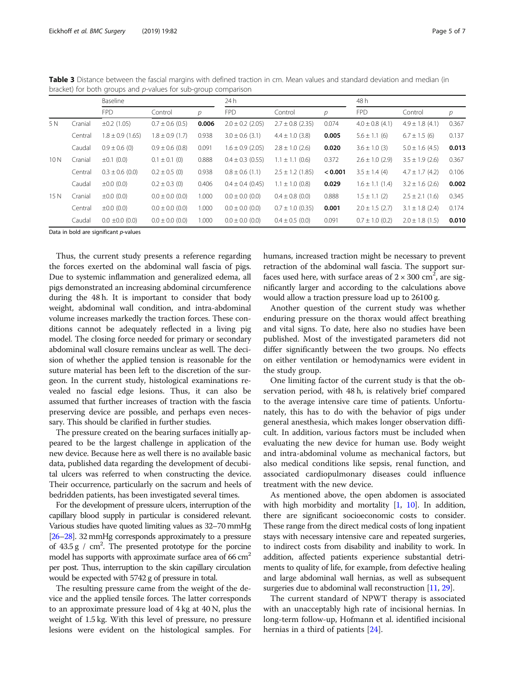|     |         | Baseline             |                     |               | 24h                  |                      | 48 h          |                     |                     |       |
|-----|---------|----------------------|---------------------|---------------|----------------------|----------------------|---------------|---------------------|---------------------|-------|
|     |         | <b>FPD</b>           | Control             | $\mathcal{D}$ | <b>FPD</b>           | Control              | $\mathcal{D}$ | <b>FPD</b>          | Control             | р     |
| 5 N | Cranial | $\pm 0.2$ (1.05)     | $0.7 \pm 0.6$ (0.5) | 0.006         | $2.0 \pm 0.2$ (2.05) | $2.7 \pm 0.8$ (2.35) | 0.074         | $4.0 \pm 0.8$ (4.1) | $4.9 \pm 1.8$ (4.1) | 0.367 |
|     | Central | $1.8 \pm 0.9$ (1.65) | $1.8 \pm 0.9$ (1.7) | 0.938         | $3.0 \pm 0.6$ (3.1)  | $4.4 \pm 1.0$ (3.8)  | 0.005         | $5.6 \pm 1.1$ (6)   | $6.7 \pm 1.5$ (6)   | 0.137 |
|     | Caudal  | $0.9 \pm 0.6$ (0)    | $0.9 \pm 0.6$ (0.8) | 0.091         | $1.6 \pm 0.9$ (2.05) | $2.8 \pm 1.0$ (2.6)  | 0.020         | $3.6 \pm 1.0$ (3)   | $5.0 \pm 1.6$ (4.5) | 0.013 |
| 10N | Cranial | $\pm 0.1$ (0.0)      | $0.1 \pm 0.1$ (0)   | 0.888         | $0.4 \pm 0.3$ (0.55) | $1.1 \pm 1.1$ (0.6)  | 0.372         | $2.6 \pm 1.0$ (2.9) | $3.5 \pm 1.9$ (2.6) | 0.367 |
|     | Central | $0.3 \pm 0.6$ (0.0)  | $0.2 \pm 0.5$ (0)   | 0.938         | $0.8 \pm 0.6$ (1.1)  | $2.5 \pm 1.2$ (1.85) | < 0.001       | $3.5 \pm 1.4$ (4)   | $4.7 \pm 1.7$ (4.2) | 0.106 |
|     | Caudal  | $\pm 0.0$ (0.0)      | $0.2 \pm 0.3$ (0)   | 0.406         | $0.4 \pm 0.4$ (0.45) | $1.1 \pm 1.0$ (0.8)  | 0.029         | $1.6 \pm 1.1(1.4)$  | $3.2 \pm 1.6$ (2.6) | 0.002 |
| 15N | Cranial | $\pm 0.0$ (0.0)      | $0.0 \pm 0.0$ (0.0) | 1.000         | $0.0 \pm 0.0$ (0.0)  | $0.4 \pm 0.8$ (0.0)  | 0.888         | $1.5 \pm 1.1$ (2)   | $2.5 \pm 2.1$ (1.6) | 0.345 |
|     | Central | $\pm 0.0$ (0.0)      | $0.0 \pm 0.0$ (0.0) | 1.000         | $0.0 \pm 0.0$ (0.0)  | $0.7 \pm 1.0$ (0.35) | 0.001         | $2.0 \pm 1.5$ (2.7) | $3.1 \pm 1.8$ (2.4) | 0.174 |
|     | Caudal  | $0.0 \pm 0.0$ (0.0)  | $0.0 \pm 0.0$ (0.0) | 1.000         | $0.0 \pm 0.0$ (0.0)  | $0.4 \pm 0.5$ (0.0)  | 0.091         | $0.7 \pm 1.0$ (0.2) | $2.0 \pm 1.8$ (1.5) | 0.010 |

<span id="page-4-0"></span>Table 3 Distance between the fascial margins with defined traction in cm. Mean values and standard deviation and median (in bracket) for both groups and p-values for sub-group comparison

Data in bold are significant p-values

Thus, the current study presents a reference regarding the forces exerted on the abdominal wall fascia of pigs. Due to systemic inflammation and generalized edema, all pigs demonstrated an increasing abdominal circumference during the 48 h. It is important to consider that body weight, abdominal wall condition, and intra-abdominal volume increases markedly the traction forces. These conditions cannot be adequately reflected in a living pig model. The closing force needed for primary or secondary abdominal wall closure remains unclear as well. The decision of whether the applied tension is reasonable for the suture material has been left to the discretion of the surgeon. In the current study, histological examinations revealed no fascial edge lesions. Thus, it can also be assumed that further increases of traction with the fascia preserving device are possible, and perhaps even necessary. This should be clarified in further studies.

The pressure created on the bearing surfaces initially appeared to be the largest challenge in application of the new device. Because here as well there is no available basic data, published data regarding the development of decubital ulcers was referred to when constructing the device. Their occurrence, particularly on the sacrum and heels of bedridden patients, has been investigated several times.

For the development of pressure ulcers, interruption of the capillary blood supply in particular is considered relevant. Various studies have quoted limiting values as 32–70 mmHg [[26](#page-6-0)–[28\]](#page-6-0). 32 mmHg corresponds approximately to a pressure of  $43.5 g / cm<sup>2</sup>$ . The presented prototype for the porcine model has supports with approximate surface area of  $66 \text{ cm}^2$ per post. Thus, interruption to the skin capillary circulation would be expected with 5742 g of pressure in total.

The resulting pressure came from the weight of the device and the applied tensile forces. The latter corresponds to an approximate pressure load of 4 kg at 40 N, plus the weight of 1.5 kg. With this level of pressure, no pressure lesions were evident on the histological samples. For humans, increased traction might be necessary to prevent retraction of the abdominal wall fascia. The support surfaces used here, with surface areas of  $2 \times 300$  cm<sup>2</sup>, are significantly larger and according to the calculations above would allow a traction pressure load up to 26100 g.

Another question of the current study was whether enduring pressure on the thorax would affect breathing and vital signs. To date, here also no studies have been published. Most of the investigated parameters did not differ significantly between the two groups. No effects on either ventilation or hemodynamics were evident in the study group.

One limiting factor of the current study is that the observation period, with 48 h, is relatively brief compared to the average intensive care time of patients. Unfortunately, this has to do with the behavior of pigs under general anesthesia, which makes longer observation difficult. In addition, various factors must be included when evaluating the new device for human use. Body weight and intra-abdominal volume as mechanical factors, but also medical conditions like sepsis, renal function, and associated cardiopulmonary diseases could influence treatment with the new device.

As mentioned above, the open abdomen is associated with high morbidity and mortality [\[1](#page-5-0), [10\]](#page-5-0). In addition, there are significant socioeconomic costs to consider. These range from the direct medical costs of long inpatient stays with necessary intensive care and repeated surgeries, to indirect costs from disability and inability to work. In addition, affected patients experience substantial detriments to quality of life, for example, from defective healing and large abdominal wall hernias, as well as subsequent surgeries due to abdominal wall reconstruction [[11](#page-5-0), [29\]](#page-6-0).

The current standard of NPWT therapy is associated with an unacceptably high rate of incisional hernias. In long-term follow-up, Hofmann et al. identified incisional hernias in a third of patients [[24](#page-6-0)].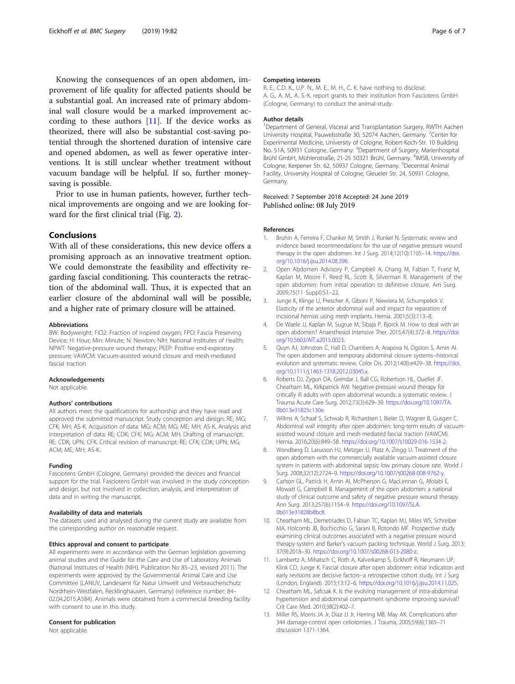<span id="page-5-0"></span>Knowing the consequences of an open abdomen, improvement of life quality for affected patients should be a substantial goal. An increased rate of primary abdominal wall closure would be a marked improvement according to these authors  $[11]$ . If the device works as theorized, there will also be substantial cost-saving potential through the shortened duration of intensive care and opened abdomen, as well as fewer operative interventions. It is still unclear whether treatment without vacuum bandage will be helpful. If so, further moneysaving is possible.

Prior to use in human patients, however, further technical improvements are ongoing and we are looking forward for the first clinical trial (Fig. [2\)](#page-1-0).

# **Conclusions**

With all of these considerations, this new device offers a promising approach as an innovative treatment option. We could demonstrate the feasibility and effectivity regarding fascial conditioning. This counteracts the retraction of the abdominal wall. Thus, it is expected that an earlier closure of the abdominal wall will be possible, and a higher rate of primary closure will be attained.

#### **Abbreviations**

BW: Bodyweight; FiO2: Fraction of inspired oxygen; FPD: Fascia Preserving Device; H: Hour; Min: Minute; N: Newton; NIH: National Institutes of Health; NPWT: Negative-pressure wound therapy; PEEP: Positive end-expiratory pressure; VAWCM: Vacuum-assisted wound closure and mesh-mediated fascial traction

#### Acknowledgements

Not applicable.

#### Authors' contributions

All authors meet the qualifications for authorship and they have read and approved the submitted manuscript. Study conception and design: RE; MG; CFK; MH; AS-K. Acquisition of data: MG; ACM; MG; ME; MH; AS-K. Analysis and interpretation of data: RE; CDK; CFK; MG; ACM; MH. Drafting of manuscript: RE; CDK; UPN; CFK. Critical revision of manuscript: RE; CFK; CDK; UPN; MG; ACM; ME; MH; AS-K.

#### Funding

Fasciotens GmbH (Cologne, Germany) provided the devices and financial support for the trial. Fasciotens GmbH was involved in the study conception and design, but not involved in collection, analysis, and interpretation of data and in writing the manuscript.

### Availability of data and materials

The datasets used and analysed during the current study are available from the corresponding author on reasonable request.

# Ethics approval and consent to participate

All experiments were in accordance with the German legislation governing animal studies and the Guide for the Care and Use of Laboratory Animals (National Institutes of Health (NIH), Publication No 85–23, revised 2011). The experiments were approved by the Governmental Animal Care and Use Committee (LANUV, Landesamt für Natur Umwelt und Verbraucherschutz Nordrhein-Westfalen, Recklinghausen, Germany) (reference number: 84– 02.04.2015.A584). Animals were obtained from a commercial breeding facility with consent to use in this study.

# Consent for publication

Not applicable.

#### Competing interests

R. E., C.D. K., U.P. N., M. E., M. H., C. K. have nothing to disclose. A. G., A. M., A. S.-K. report grants to their institution from Fasciotens GmbH (Cologne, Germany) to conduct the animal-study.

#### Author details

<sup>1</sup>Department of General, Visceral and Transplantation Surgery, RWTH Aachen University Hospital, Pauwelsstraße 30, 52074 Aachen, Germany. <sup>2</sup>Center for Experimental Medicine, University of Cologne, Robert-Koch-Str. 10 Building No. 51A, 50931 Cologne, Germany. <sup>3</sup>Department of Surgery, Marienhospital Brühl GmbH, Mühlenstraße, 21-25 50321 Brühl, Germany. <sup>4</sup>IMSB, University of Cologne, Kerpener Str. 62, 50937 Cologne, Germany. <sup>5</sup>Decentral Animal Facility, University Hospital of Cologne, Gleueler Str. 24, 50931 Cologne, Germany.

## Received: 7 September 2018 Accepted: 24 June 2019 Published online: 08 July 2019

## References

- 1. Bruhin A, Ferreira F, Chariker M, Smith J, Runkel N. Systematic review and evidence based recommendations for the use of negative pressure wound therapy in the open abdomen. Int J Surg. 2014;12(10):1105–14. [https://doi.](https://doi.org/10.1016/j.ijsu.2014.08.396) [org/10.1016/j.ijsu.2014.08.396](https://doi.org/10.1016/j.ijsu.2014.08.396).
- 2. Open Abdomen Advisory P, Campbell A, Chang M, Fabian T, Franz M, Kaplan M, Moore F, Reed RL, Scott B, Silverman R. Management of the open abdomen: from initial operation to definitive closure. Am Surg. 2009;75(11 Suppl):S1–22.
- 3. Junge K, Klinge U, Prescher A, Giboni P, Niewiera M, Schumpelick V. Elasticity of the anterior abdominal wall and impact for reparation of incisional hernias using mesh implants. Hernia. 2001;5(3):113–8.
- 4. De Waele JJ, Kaplan M, Sugrue M, Sibaja P, Bjorck M. How to deal with an open abdomen? Anaesthesiol Intensive Ther. 2015;47(4):372–8. [https://doi.](https://doi.org/10.5603/AIT.a2015.0023) [org/10.5603/AIT.a2015.0023.](https://doi.org/10.5603/AIT.a2015.0023)
- 5. Quyn AJ, Johnston C, Hall D, Chambers A, Arapova N, Ogston S, Amin AI. The open abdomen and temporary abdominal closure systems--historical evolution and systematic review. Color Dis. 2012;14(8):e429–38. [https://doi.](https://doi.org/10.1111/j.1463-1318.2012.03045.x) [org/10.1111/j.1463-1318.2012.03045.x](https://doi.org/10.1111/j.1463-1318.2012.03045.x).
- 6. Roberts DJ, Zygun DA, Grendar J, Ball CG, Robertson HL, Ouellet JF, Cheatham ML, Kirkpatrick AW. Negative-pressure wound therapy for critically ill adults with open abdominal wounds: a systematic review. J Trauma Acute Care Surg. 2012;73(3):629–39. [https://doi.org/10.1097/TA.](https://doi.org/10.1097/TA.0b013e31825c130e) [0b013e31825c130e](https://doi.org/10.1097/TA.0b013e31825c130e).
- 7. Willms A, Schaaf S, Schwab R, Richardsen I, Bieler D, Wagner B, Gusgen C. Abdominal wall integrity after open abdomen: long-term results of vacuumassisted wound closure and mesh-mediated fascial traction (VAWCM). Hernia. 2016;20(6):849–58. [https://doi.org/10.1007/s10029-016-1534-2.](https://doi.org/10.1007/s10029-016-1534-2)
- 8. Wondberg D, Larusson HJ, Metzger U, Platz A, Zingg U. Treatment of the open abdomen with the commercially available vacuum-assisted closure system in patients with abdominal sepsis: low primary closure rate. World J Surg. 2008;32(12):2724–9. <https://doi.org/10.1007/s00268-008-9762-y>.
- 9. Carlson GL, Patrick H, Amin AI, McPherson G, MacLennan G, Afolabi E, Mowatt G, Campbell B. Management of the open abdomen: a national study of clinical outcome and safety of negative pressure wound therapy. Ann Surg. 2013;257(6):1154–9. [https://doi.org/10.1097/SLA.](https://doi.org/10.1097/SLA.0b013e31828b8bc8) [0b013e31828b8bc8](https://doi.org/10.1097/SLA.0b013e31828b8bc8).
- 10. Cheatham ML, Demetriades D, Fabian TC, Kaplan MJ, Miles WS, Schreiber MA, Holcomb JB, Bochicchio G, Sarani B, Rotondo MF. Prospective study examining clinical outcomes associated with a negative pressure wound therapy system and Barker's vacuum packing technique. World J Surg. 2013; 37(9):2018–30. <https://doi.org/10.1007/s00268-013-2080-z>.
- 11. Lambertz A, Mihatsch C, Roth A, Kalverkamp S, Eickhoff R, Neumann UP, Klink CD, Junge K. Fascial closure after open abdomen: initial indication and early revisions are decisive factors--a retrospective cohort study. Int J Surg (London, England). 2015;13:12–6. [https://doi.org/10.1016/j.ijsu.2014.11.025.](https://doi.org/10.1016/j.ijsu.2014.11.025)
- 12. Cheatham ML, Safcsak K. Is the evolving management of intra-abdominal hypertension and abdominal compartment syndrome improving survival? Crit Care Med. 2010;38(2):402–7.
- 13. Miller RS, Morris JA Jr, Diaz JJ Jr, Herring MB, May AK. Complications after 344 damage-control open celiotomies. J Trauma. 2005;59(6):1365–71 discussion 1371-1364.